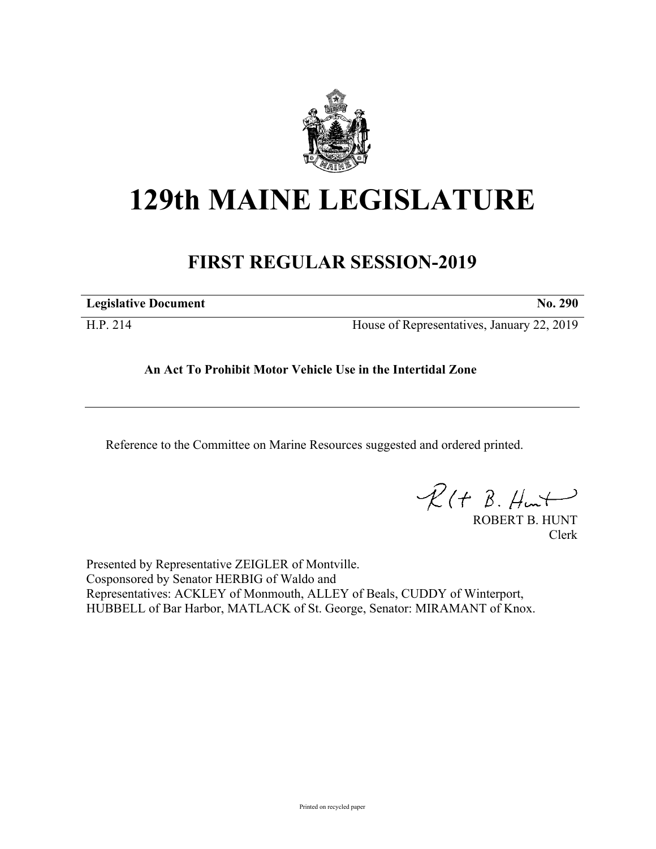

## **129th MAINE LEGISLATURE**

## **FIRST REGULAR SESSION-2019**

**Legislative Document No. 290**

H.P. 214 House of Representatives, January 22, 2019

## **An Act To Prohibit Motor Vehicle Use in the Intertidal Zone**

Reference to the Committee on Marine Resources suggested and ordered printed.

 $PR(H B. Hurt)$ 

ROBERT B. HUNT Clerk

Presented by Representative ZEIGLER of Montville. Cosponsored by Senator HERBIG of Waldo and Representatives: ACKLEY of Monmouth, ALLEY of Beals, CUDDY of Winterport, HUBBELL of Bar Harbor, MATLACK of St. George, Senator: MIRAMANT of Knox.